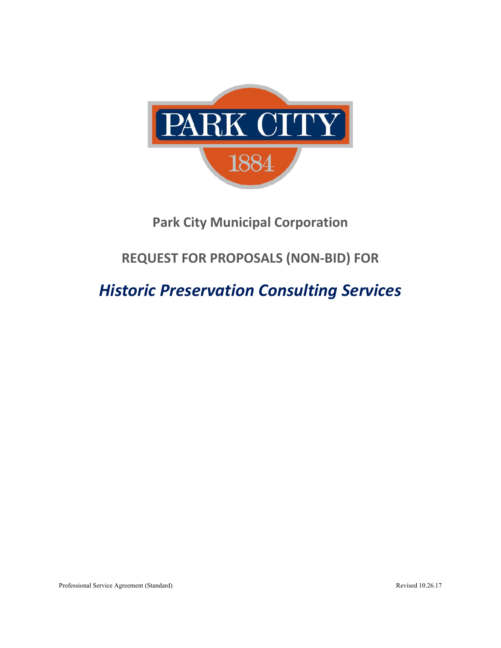

# **Park City Municipal Corporation**

# **REQUEST FOR PROPOSALS (NON‐BID) FOR**

# *Historic Preservation Consulting Services*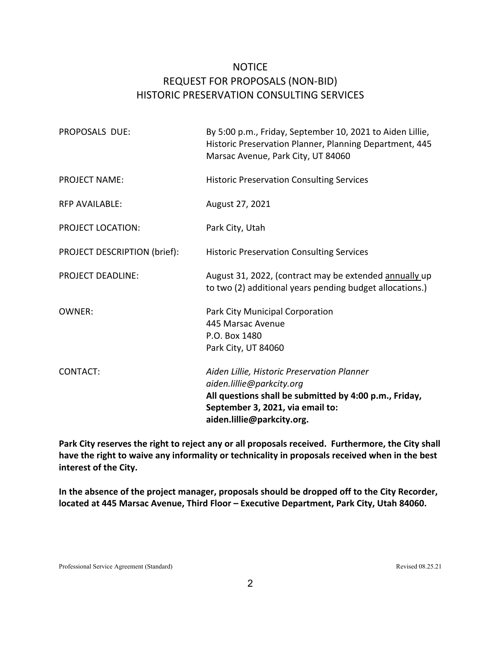## **NOTICE** REQUEST FOR PROPOSALS (NON‐BID) HISTORIC PRESERVATION CONSULTING SERVICES

| PROPOSALS DUE:               | By 5:00 p.m., Friday, September 10, 2021 to Aiden Lillie,<br>Historic Preservation Planner, Planning Department, 445<br>Marsac Avenue, Park City, UT 84060                                           |
|------------------------------|------------------------------------------------------------------------------------------------------------------------------------------------------------------------------------------------------|
| <b>PROJECT NAME:</b>         | <b>Historic Preservation Consulting Services</b>                                                                                                                                                     |
| <b>RFP AVAILABLE:</b>        | August 27, 2021                                                                                                                                                                                      |
| <b>PROJECT LOCATION:</b>     | Park City, Utah                                                                                                                                                                                      |
| PROJECT DESCRIPTION (brief): | <b>Historic Preservation Consulting Services</b>                                                                                                                                                     |
| <b>PROJECT DEADLINE:</b>     | August 31, 2022, (contract may be extended annually up<br>to two (2) additional years pending budget allocations.)                                                                                   |
| <b>OWNER:</b>                | Park City Municipal Corporation<br>445 Marsac Avenue<br>P.O. Box 1480<br>Park City, UT 84060                                                                                                         |
| <b>CONTACT:</b>              | Aiden Lillie, Historic Preservation Planner<br>aiden.lillie@parkcity.org<br>All questions shall be submitted by 4:00 p.m., Friday,<br>September 3, 2021, via email to:<br>aiden.lillie@parkcity.org. |

**Park City reserves the right to reject any or all proposals received. Furthermore, the City shall have the right to waive any informality or technicality in proposals received when in the best interest of the City.** 

**In the absence of the project manager, proposals should be dropped off to the City Recorder, located at 445 Marsac Avenue, Third Floor – Executive Department, Park City, Utah 84060.**

Professional Service Agreement (Standard) Revised 08.25.21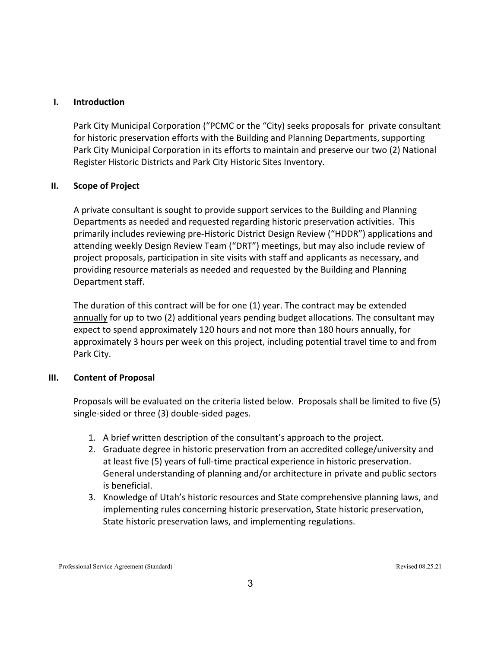#### **I. Introduction**

Park City Municipal Corporation ("PCMC or the "City) seeks proposals for private consultant for historic preservation efforts with the Building and Planning Departments, supporting Park City Municipal Corporation in its efforts to maintain and preserve our two (2) National Register Historic Districts and Park City Historic Sites Inventory.

#### **II. Scope of Project**

A private consultant is sought to provide support services to the Building and Planning Departments as needed and requested regarding historic preservation activities. This primarily includes reviewing pre‐Historic District Design Review ("HDDR") applications and attending weekly Design Review Team ("DRT") meetings, but may also include review of project proposals, participation in site visits with staff and applicants as necessary, and providing resource materials as needed and requested by the Building and Planning Department staff.

The duration of this contract will be for one (1) year. The contract may be extended annually for up to two (2) additional years pending budget allocations. The consultant may expect to spend approximately 120 hours and not more than 180 hours annually, for approximately 3 hours per week on this project, including potential travel time to and from Park City.

#### **III. Content of Proposal**

Proposals will be evaluated on the criteria listed below. Proposals shall be limited to five (5) single‐sided or three (3) double‐sided pages.

- 1. A brief written description of the consultant's approach to the project.
- 2. Graduate degree in historic preservation from an accredited college/university and at least five (5) years of full-time practical experience in historic preservation. General understanding of planning and/or architecture in private and public sectors is beneficial.
- 3. Knowledge of Utah's historic resources and State comprehensive planning laws, and implementing rules concerning historic preservation, State historic preservation, State historic preservation laws, and implementing regulations.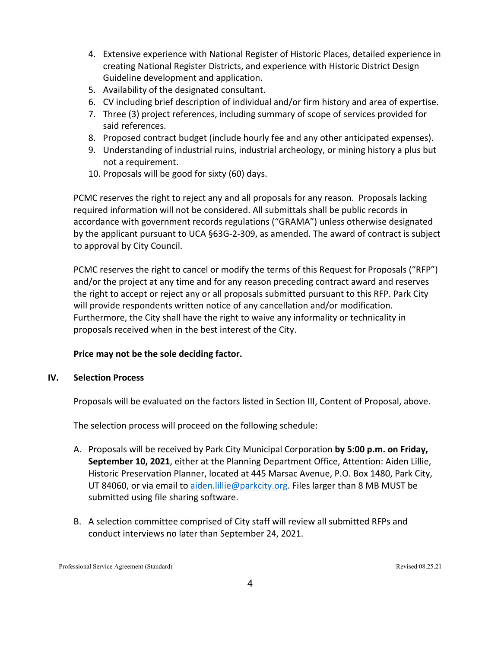- 4. Extensive experience with National Register of Historic Places, detailed experience in creating National Register Districts, and experience with Historic District Design Guideline development and application.
- 5. Availability of the designated consultant.
- 6. CV including brief description of individual and/or firm history and area of expertise.
- 7. Three (3) project references, including summary of scope of services provided for said references.
- 8. Proposed contract budget (include hourly fee and any other anticipated expenses).
- 9. Understanding of industrial ruins, industrial archeology, or mining history a plus but not a requirement.
- 10. Proposals will be good for sixty (60) days.

PCMC reserves the right to reject any and all proposals for any reason. Proposals lacking required information will not be considered. All submittals shall be public records in accordance with government records regulations ("GRAMA") unless otherwise designated by the applicant pursuant to UCA §63G‐2‐309, as amended. The award of contract is subject to approval by City Council.

PCMC reserves the right to cancel or modify the terms of this Request for Proposals ("RFP") and/or the project at any time and for any reason preceding contract award and reserves the right to accept or reject any or all proposals submitted pursuant to this RFP. Park City will provide respondents written notice of any cancellation and/or modification. Furthermore, the City shall have the right to waive any informality or technicality in proposals received when in the best interest of the City.

#### **Price may not be the sole deciding factor.**

#### **IV. Selection Process**

Proposals will be evaluated on the factors listed in Section III, Content of Proposal, above.

The selection process will proceed on the following schedule:

- A. Proposals will be received by Park City Municipal Corporation **by 5:00 p.m. on Friday, September 10, 2021**, either at the Planning Department Office, Attention: Aiden Lillie, Historic Preservation Planner, located at 445 Marsac Avenue, P.O. Box 1480, Park City, UT 84060, or via email to aiden.lillie@parkcity.org. Files larger than 8 MB MUST be submitted using file sharing software.
- B. A selection committee comprised of City staff will review all submitted RFPs and conduct interviews no later than September 24, 2021.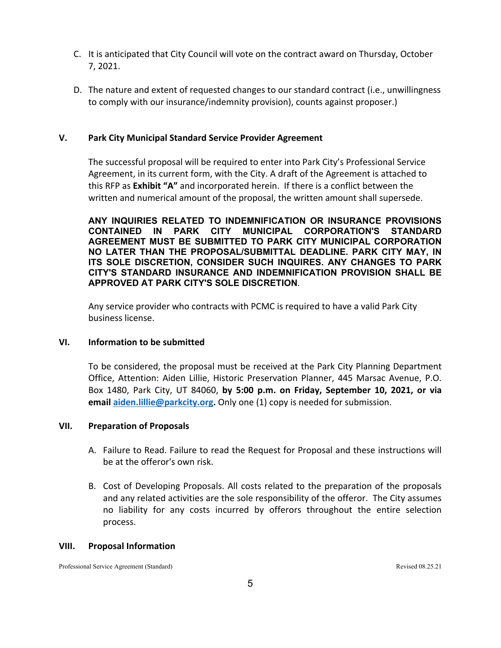- C. It is anticipated that City Council will vote on the contract award on Thursday, October 7, 2021.
- D. The nature and extent of requested changes to our standard contract (i.e., unwillingness to comply with our insurance/indemnity provision), counts against proposer.)

#### **V. Park City Municipal Standard Service Provider Agreement**

The successful proposal will be required to enter into Park City's Professional Service Agreement, in its current form, with the City. A draft of the Agreement is attached to this RFP as **Exhibit "A"** and incorporated herein. If there is a conflict between the written and numerical amount of the proposal, the written amount shall supersede.

**ANY INQUIRIES RELATED TO INDEMNIFICATION OR INSURANCE PROVISIONS CONTAINED IN PARK CITY MUNICIPAL CORPORATION'S STANDARD AGREEMENT MUST BE SUBMITTED TO PARK CITY MUNICIPAL CORPORATION NO LATER THAN THE PROPOSAL/SUBMITTAL DEADLINE. PARK CITY MAY, IN ITS SOLE DISCRETION, CONSIDER SUCH INQUIRES. ANY CHANGES TO PARK CITY'S STANDARD INSURANCE AND INDEMNIFICATION PROVISION SHALL BE APPROVED AT PARK CITY'S SOLE DISCRETION**.

Any service provider who contracts with PCMC is required to have a valid Park City business license.

#### **VI. Information to be submitted**

To be considered, the proposal must be received at the Park City Planning Department Office, Attention: Aiden Lillie, Historic Preservation Planner, 445 Marsac Avenue, P.O. Box 1480, Park City, UT 84060, **by 5:00 p.m. on Friday, September 10, 2021, or via email aiden.lillie@parkcity.org.** Only one (1) copy is needed for submission.

#### **VII. Preparation of Proposals**

- A. Failure to Read. Failure to read the Request for Proposal and these instructions will be at the offeror's own risk.
- B. Cost of Developing Proposals. All costs related to the preparation of the proposals and any related activities are the sole responsibility of the offeror. The City assumes no liability for any costs incurred by offerors throughout the entire selection process.

#### **VIII. Proposal Information**

Professional Service Agreement (Standard) Revised 08.25.21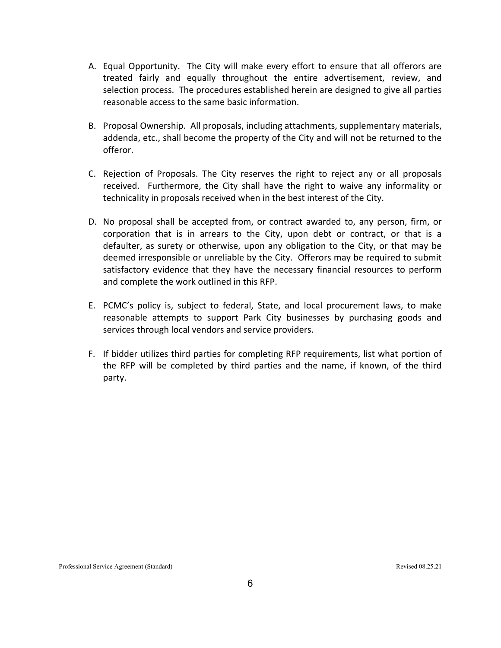- A. Equal Opportunity. The City will make every effort to ensure that all offerors are treated fairly and equally throughout the entire advertisement, review, and selection process. The procedures established herein are designed to give all parties reasonable access to the same basic information.
- B. Proposal Ownership. All proposals, including attachments, supplementary materials, addenda, etc., shall become the property of the City and will not be returned to the offeror.
- C. Rejection of Proposals. The City reserves the right to reject any or all proposals received. Furthermore, the City shall have the right to waive any informality or technicality in proposals received when in the best interest of the City.
- D. No proposal shall be accepted from, or contract awarded to, any person, firm, or corporation that is in arrears to the City, upon debt or contract, or that is a defaulter, as surety or otherwise, upon any obligation to the City, or that may be deemed irresponsible or unreliable by the City. Offerors may be required to submit satisfactory evidence that they have the necessary financial resources to perform and complete the work outlined in this RFP.
- E. PCMC's policy is, subject to federal, State, and local procurement laws, to make reasonable attempts to support Park City businesses by purchasing goods and services through local vendors and service providers.
- F. If bidder utilizes third parties for completing RFP requirements, list what portion of the RFP will be completed by third parties and the name, if known, of the third party.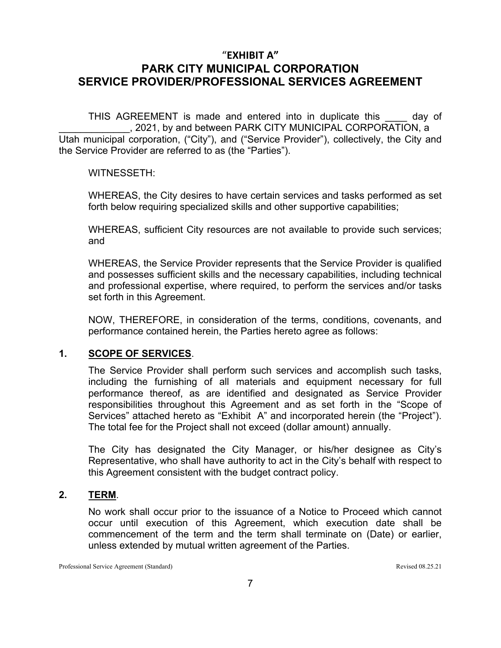THIS AGREEMENT is made and entered into in duplicate this \_\_\_\_ day of \_\_\_\_\_\_\_\_\_\_\_\_\_, 2021, by and between PARK CITY MUNICIPAL CORPORATION, a Utah municipal corporation, ("City"), and ("Service Provider"), collectively, the City and the Service Provider are referred to as (the "Parties").

#### WITNESSETH:

WHEREAS, the City desires to have certain services and tasks performed as set forth below requiring specialized skills and other supportive capabilities;

WHEREAS, sufficient City resources are not available to provide such services; and

WHEREAS, the Service Provider represents that the Service Provider is qualified and possesses sufficient skills and the necessary capabilities, including technical and professional expertise, where required, to perform the services and/or tasks set forth in this Agreement.

NOW, THEREFORE, in consideration of the terms, conditions, covenants, and performance contained herein, the Parties hereto agree as follows:

## **1. SCOPE OF SERVICES**.

The Service Provider shall perform such services and accomplish such tasks, including the furnishing of all materials and equipment necessary for full performance thereof, as are identified and designated as Service Provider responsibilities throughout this Agreement and as set forth in the "Scope of Services" attached hereto as "Exhibit A" and incorporated herein (the "Project"). The total fee for the Project shall not exceed (dollar amount) annually.

The City has designated the City Manager, or his/her designee as City's Representative, who shall have authority to act in the City's behalf with respect to this Agreement consistent with the budget contract policy.

## **2. TERM**.

No work shall occur prior to the issuance of a Notice to Proceed which cannot occur until execution of this Agreement, which execution date shall be commencement of the term and the term shall terminate on (Date) or earlier, unless extended by mutual written agreement of the Parties.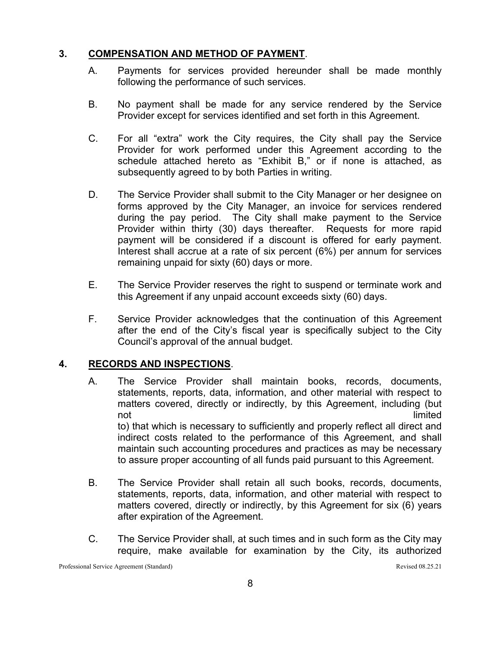## **3. COMPENSATION AND METHOD OF PAYMENT**.

- A. Payments for services provided hereunder shall be made monthly following the performance of such services.
- B. No payment shall be made for any service rendered by the Service Provider except for services identified and set forth in this Agreement.
- C. For all "extra" work the City requires, the City shall pay the Service Provider for work performed under this Agreement according to the schedule attached hereto as "Exhibit B," or if none is attached, as subsequently agreed to by both Parties in writing.
- D. The Service Provider shall submit to the City Manager or her designee on forms approved by the City Manager, an invoice for services rendered during the pay period. The City shall make payment to the Service Provider within thirty (30) days thereafter. Requests for more rapid payment will be considered if a discount is offered for early payment. Interest shall accrue at a rate of six percent (6%) per annum for services remaining unpaid for sixty (60) days or more.
- E. The Service Provider reserves the right to suspend or terminate work and this Agreement if any unpaid account exceeds sixty (60) days.
- F. Service Provider acknowledges that the continuation of this Agreement after the end of the City's fiscal year is specifically subject to the City Council's approval of the annual budget.

## **4. RECORDS AND INSPECTIONS**.

- A. The Service Provider shall maintain books, records, documents, statements, reports, data, information, and other material with respect to matters covered, directly or indirectly, by this Agreement, including (but not and the contract of the contract of the contract of the contract of the contract of the contract of the contract of the contract of the contract of the contract of the contract of the contract of the contract of the co to) that which is necessary to sufficiently and properly reflect all direct and indirect costs related to the performance of this Agreement, and shall maintain such accounting procedures and practices as may be necessary to assure proper accounting of all funds paid pursuant to this Agreement.
- B. The Service Provider shall retain all such books, records, documents, statements, reports, data, information, and other material with respect to matters covered, directly or indirectly, by this Agreement for six (6) years after expiration of the Agreement.
- C. The Service Provider shall, at such times and in such form as the City may require, make available for examination by the City, its authorized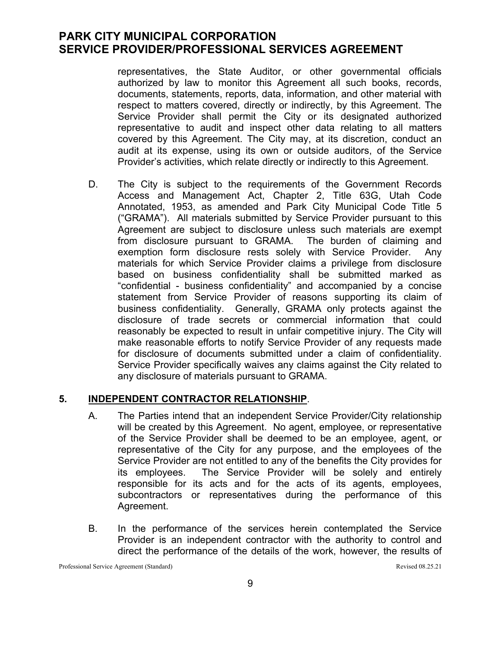representatives, the State Auditor, or other governmental officials authorized by law to monitor this Agreement all such books, records, documents, statements, reports, data, information, and other material with respect to matters covered, directly or indirectly, by this Agreement. The Service Provider shall permit the City or its designated authorized representative to audit and inspect other data relating to all matters covered by this Agreement. The City may, at its discretion, conduct an audit at its expense, using its own or outside auditors, of the Service Provider's activities, which relate directly or indirectly to this Agreement.

D. The City is subject to the requirements of the Government Records Access and Management Act, Chapter 2, Title 63G, Utah Code Annotated, 1953, as amended and Park City Municipal Code Title 5 ("GRAMA"). All materials submitted by Service Provider pursuant to this Agreement are subject to disclosure unless such materials are exempt from disclosure pursuant to GRAMA. The burden of claiming and exemption form disclosure rests solely with Service Provider. Any materials for which Service Provider claims a privilege from disclosure based on business confidentiality shall be submitted marked as "confidential - business confidentiality" and accompanied by a concise statement from Service Provider of reasons supporting its claim of business confidentiality. Generally, GRAMA only protects against the disclosure of trade secrets or commercial information that could reasonably be expected to result in unfair competitive injury. The City will make reasonable efforts to notify Service Provider of any requests made for disclosure of documents submitted under a claim of confidentiality. Service Provider specifically waives any claims against the City related to any disclosure of materials pursuant to GRAMA.

## **5. INDEPENDENT CONTRACTOR RELATIONSHIP**.

- A. The Parties intend that an independent Service Provider/City relationship will be created by this Agreement. No agent, employee, or representative of the Service Provider shall be deemed to be an employee, agent, or representative of the City for any purpose, and the employees of the Service Provider are not entitled to any of the benefits the City provides for its employees. The Service Provider will be solely and entirely responsible for its acts and for the acts of its agents, employees, subcontractors or representatives during the performance of this Agreement.
- B. In the performance of the services herein contemplated the Service Provider is an independent contractor with the authority to control and direct the performance of the details of the work, however, the results of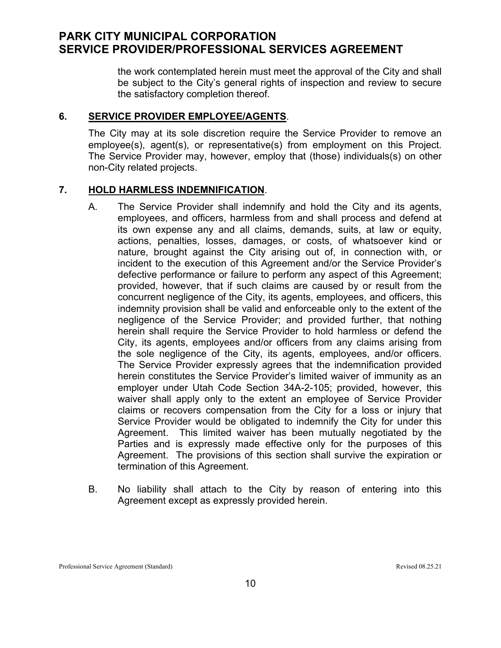the work contemplated herein must meet the approval of the City and shall be subject to the City's general rights of inspection and review to secure the satisfactory completion thereof.

#### **6. SERVICE PROVIDER EMPLOYEE/AGENTS**.

The City may at its sole discretion require the Service Provider to remove an employee(s), agent(s), or representative(s) from employment on this Project. The Service Provider may, however, employ that (those) individuals(s) on other non-City related projects.

#### **7. HOLD HARMLESS INDEMNIFICATION**.

- A. The Service Provider shall indemnify and hold the City and its agents, employees, and officers, harmless from and shall process and defend at its own expense any and all claims, demands, suits, at law or equity, actions, penalties, losses, damages, or costs, of whatsoever kind or nature, brought against the City arising out of, in connection with, or incident to the execution of this Agreement and/or the Service Provider's defective performance or failure to perform any aspect of this Agreement; provided, however, that if such claims are caused by or result from the concurrent negligence of the City, its agents, employees, and officers, this indemnity provision shall be valid and enforceable only to the extent of the negligence of the Service Provider; and provided further, that nothing herein shall require the Service Provider to hold harmless or defend the City, its agents, employees and/or officers from any claims arising from the sole negligence of the City, its agents, employees, and/or officers. The Service Provider expressly agrees that the indemnification provided herein constitutes the Service Provider's limited waiver of immunity as an employer under Utah Code Section 34A-2-105; provided, however, this waiver shall apply only to the extent an employee of Service Provider claims or recovers compensation from the City for a loss or injury that Service Provider would be obligated to indemnify the City for under this Agreement. This limited waiver has been mutually negotiated by the Parties and is expressly made effective only for the purposes of this Agreement. The provisions of this section shall survive the expiration or termination of this Agreement.
- B. No liability shall attach to the City by reason of entering into this Agreement except as expressly provided herein.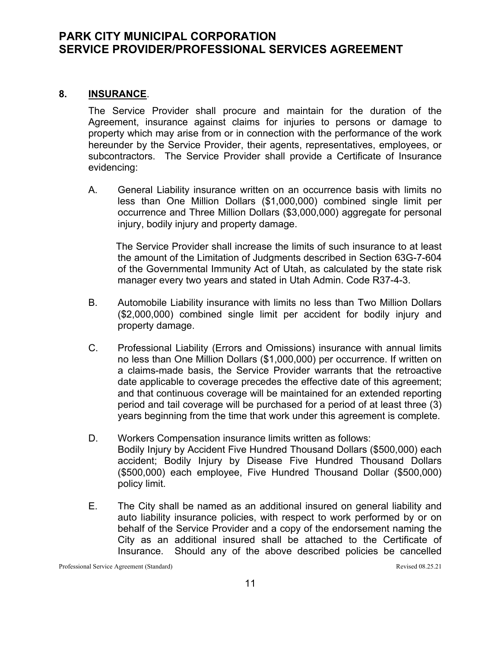## **8. INSURANCE**.

The Service Provider shall procure and maintain for the duration of the Agreement, insurance against claims for injuries to persons or damage to property which may arise from or in connection with the performance of the work hereunder by the Service Provider, their agents, representatives, employees, or subcontractors. The Service Provider shall provide a Certificate of Insurance evidencing:

A. General Liability insurance written on an occurrence basis with limits no less than One Million Dollars (\$1,000,000) combined single limit per occurrence and Three Million Dollars (\$3,000,000) aggregate for personal injury, bodily injury and property damage.

 The Service Provider shall increase the limits of such insurance to at least the amount of the Limitation of Judgments described in Section 63G-7-604 of the Governmental Immunity Act of Utah, as calculated by the state risk manager every two years and stated in Utah Admin. Code R37-4-3.

- B. Automobile Liability insurance with limits no less than Two Million Dollars (\$2,000,000) combined single limit per accident for bodily injury and property damage.
- C. Professional Liability (Errors and Omissions) insurance with annual limits no less than One Million Dollars (\$1,000,000) per occurrence. If written on a claims-made basis, the Service Provider warrants that the retroactive date applicable to coverage precedes the effective date of this agreement; and that continuous coverage will be maintained for an extended reporting period and tail coverage will be purchased for a period of at least three (3) years beginning from the time that work under this agreement is complete.
- D. Workers Compensation insurance limits written as follows: Bodily Injury by Accident Five Hundred Thousand Dollars (\$500,000) each accident; Bodily Injury by Disease Five Hundred Thousand Dollars (\$500,000) each employee, Five Hundred Thousand Dollar (\$500,000) policy limit.
- E. The City shall be named as an additional insured on general liability and auto liability insurance policies, with respect to work performed by or on behalf of the Service Provider and a copy of the endorsement naming the City as an additional insured shall be attached to the Certificate of Insurance. Should any of the above described policies be cancelled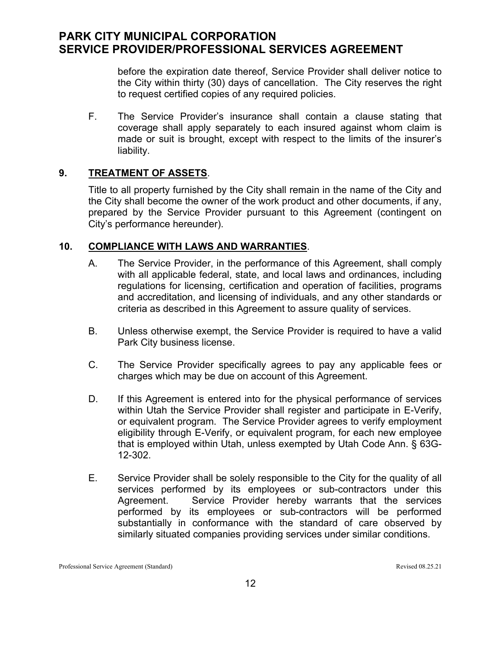before the expiration date thereof, Service Provider shall deliver notice to the City within thirty (30) days of cancellation. The City reserves the right to request certified copies of any required policies.

F. The Service Provider's insurance shall contain a clause stating that coverage shall apply separately to each insured against whom claim is made or suit is brought, except with respect to the limits of the insurer's liability.

## **9. TREATMENT OF ASSETS**.

Title to all property furnished by the City shall remain in the name of the City and the City shall become the owner of the work product and other documents, if any, prepared by the Service Provider pursuant to this Agreement (contingent on City's performance hereunder).

## **10. COMPLIANCE WITH LAWS AND WARRANTIES**.

- A. The Service Provider, in the performance of this Agreement, shall comply with all applicable federal, state, and local laws and ordinances, including regulations for licensing, certification and operation of facilities, programs and accreditation, and licensing of individuals, and any other standards or criteria as described in this Agreement to assure quality of services.
- B. Unless otherwise exempt, the Service Provider is required to have a valid Park City business license.
- C. The Service Provider specifically agrees to pay any applicable fees or charges which may be due on account of this Agreement.
- D. If this Agreement is entered into for the physical performance of services within Utah the Service Provider shall register and participate in E-Verify, or equivalent program. The Service Provider agrees to verify employment eligibility through E-Verify, or equivalent program, for each new employee that is employed within Utah, unless exempted by Utah Code Ann. § 63G-12-302.
- E. Service Provider shall be solely responsible to the City for the quality of all services performed by its employees or sub-contractors under this Agreement. Service Provider hereby warrants that the services performed by its employees or sub-contractors will be performed substantially in conformance with the standard of care observed by similarly situated companies providing services under similar conditions.

Professional Service Agreement (Standard) Revised 08.25.21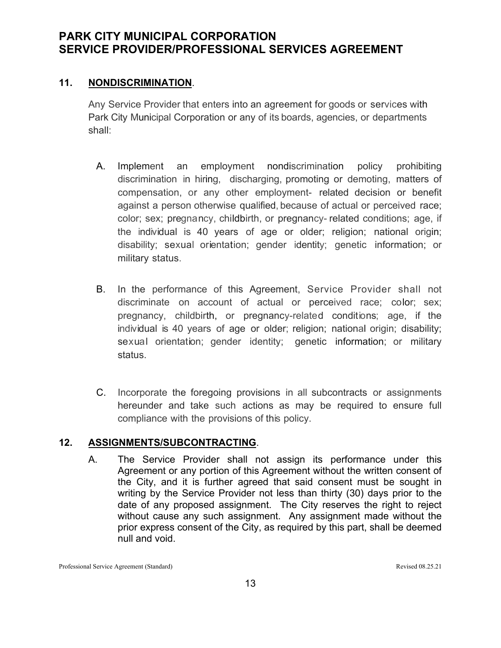## **11. NONDISCRIMINATION**.

Any Service Provider that enters into an agreement for goods or services with Park City Municipal Corporation or any of its boards, agencies, or departments shall:

- A. Implement an employment nondiscrimination policy prohibiting discrimination in hiring, discharging, promoting or demoting, matters of compensation, or any other employment- related decision or benefit against a person otherwise qualified, because of actual or perceived race; color; sex; pregnancy, childbirth, or pregnancy- related conditions; age, if the individual is 40 years of age or older; religion; national origin; disability; sexual orientation; gender identity; genetic information; or military status.
- B. In the performance of this Agreement, Service Provider shall not discriminate on account of actual or perceived race; color; sex; pregnancy, childbirth, or pregnancy-related conditions; age, if the individual is 40 years of age or older; religion; national origin; disability; sexual orientation; gender identity; genetic information; or military status.
- C. Incorporate the foregoing provisions in all subcontracts or assignments hereunder and take such actions as may be required to ensure full compliance with the provisions of this policy.

## **12. ASSIGNMENTS/SUBCONTRACTING**.

A. The Service Provider shall not assign its performance under this Agreement or any portion of this Agreement without the written consent of the City, and it is further agreed that said consent must be sought in writing by the Service Provider not less than thirty (30) days prior to the date of any proposed assignment. The City reserves the right to reject without cause any such assignment. Any assignment made without the prior express consent of the City, as required by this part, shall be deemed null and void.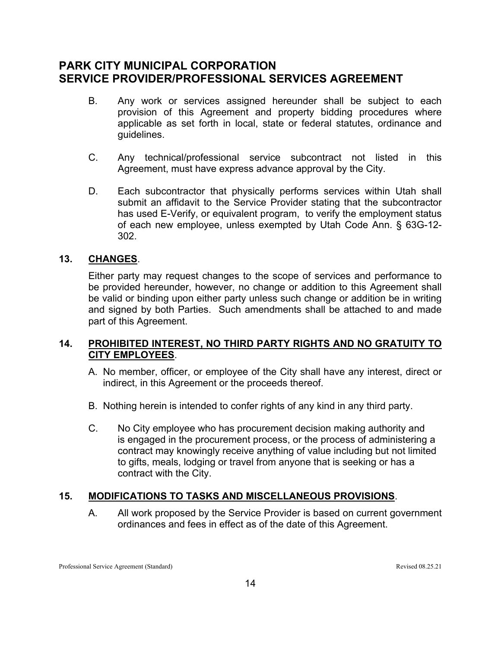- B. Any work or services assigned hereunder shall be subject to each provision of this Agreement and property bidding procedures where applicable as set forth in local, state or federal statutes, ordinance and guidelines.
- C. Any technical/professional service subcontract not listed in this Agreement, must have express advance approval by the City.
- D. Each subcontractor that physically performs services within Utah shall submit an affidavit to the Service Provider stating that the subcontractor has used E-Verify, or equivalent program, to verify the employment status of each new employee, unless exempted by Utah Code Ann. § 63G-12- 302.

## **13. CHANGES**.

Either party may request changes to the scope of services and performance to be provided hereunder, however, no change or addition to this Agreement shall be valid or binding upon either party unless such change or addition be in writing and signed by both Parties. Such amendments shall be attached to and made part of this Agreement.

## **14. PROHIBITED INTEREST, NO THIRD PARTY RIGHTS AND NO GRATUITY TO CITY EMPLOYEES**.

- A. No member, officer, or employee of the City shall have any interest, direct or indirect, in this Agreement or the proceeds thereof.
- B. Nothing herein is intended to confer rights of any kind in any third party.
- C. No City employee who has procurement decision making authority and is engaged in the procurement process, or the process of administering a contract may knowingly receive anything of value including but not limited to gifts, meals, lodging or travel from anyone that is seeking or has a contract with the City.

## **15. MODIFICATIONS TO TASKS AND MISCELLANEOUS PROVISIONS**.

A. All work proposed by the Service Provider is based on current government ordinances and fees in effect as of the date of this Agreement.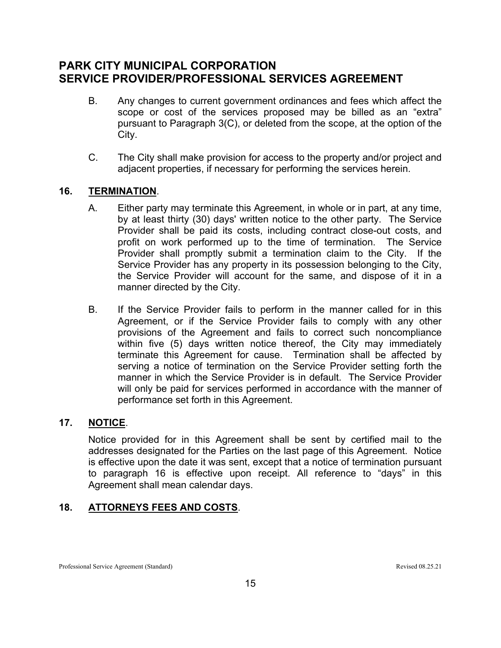- B. Any changes to current government ordinances and fees which affect the scope or cost of the services proposed may be billed as an "extra" pursuant to Paragraph 3(C), or deleted from the scope, at the option of the City.
- C. The City shall make provision for access to the property and/or project and adjacent properties, if necessary for performing the services herein.

## **16. TERMINATION**.

- A. Either party may terminate this Agreement, in whole or in part, at any time, by at least thirty (30) days' written notice to the other party. The Service Provider shall be paid its costs, including contract close-out costs, and profit on work performed up to the time of termination. The Service Provider shall promptly submit a termination claim to the City. If the Service Provider has any property in its possession belonging to the City, the Service Provider will account for the same, and dispose of it in a manner directed by the City.
- B. If the Service Provider fails to perform in the manner called for in this Agreement, or if the Service Provider fails to comply with any other provisions of the Agreement and fails to correct such noncompliance within five (5) days written notice thereof, the City may immediately terminate this Agreement for cause. Termination shall be affected by serving a notice of termination on the Service Provider setting forth the manner in which the Service Provider is in default. The Service Provider will only be paid for services performed in accordance with the manner of performance set forth in this Agreement.

## **17. NOTICE**.

Notice provided for in this Agreement shall be sent by certified mail to the addresses designated for the Parties on the last page of this Agreement. Notice is effective upon the date it was sent, except that a notice of termination pursuant to paragraph 16 is effective upon receipt. All reference to "days" in this Agreement shall mean calendar days.

## **18. ATTORNEYS FEES AND COSTS**.

Professional Service Agreement (Standard) Revised 08.25.21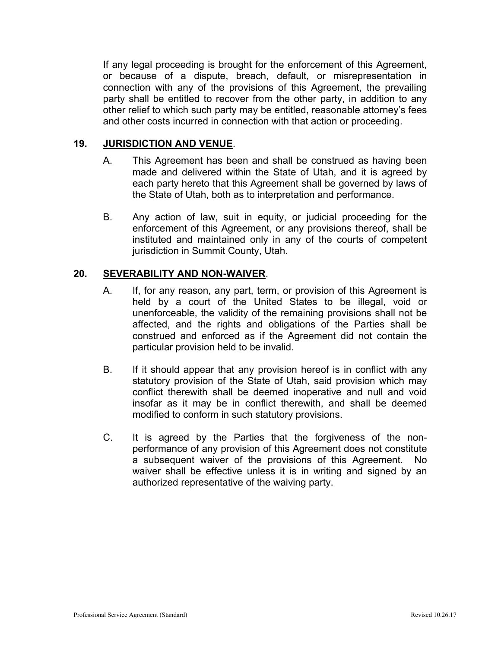If any legal proceeding is brought for the enforcement of this Agreement, or because of a dispute, breach, default, or misrepresentation in connection with any of the provisions of this Agreement, the prevailing party shall be entitled to recover from the other party, in addition to any other relief to which such party may be entitled, reasonable attorney's fees and other costs incurred in connection with that action or proceeding.

## **19. JURISDICTION AND VENUE**.

- A. This Agreement has been and shall be construed as having been made and delivered within the State of Utah, and it is agreed by each party hereto that this Agreement shall be governed by laws of the State of Utah, both as to interpretation and performance.
- B. Any action of law, suit in equity, or judicial proceeding for the enforcement of this Agreement, or any provisions thereof, shall be instituted and maintained only in any of the courts of competent jurisdiction in Summit County, Utah.

## **20. SEVERABILITY AND NON-WAIVER**.

- A. If, for any reason, any part, term, or provision of this Agreement is held by a court of the United States to be illegal, void or unenforceable, the validity of the remaining provisions shall not be affected, and the rights and obligations of the Parties shall be construed and enforced as if the Agreement did not contain the particular provision held to be invalid.
- B. If it should appear that any provision hereof is in conflict with any statutory provision of the State of Utah, said provision which may conflict therewith shall be deemed inoperative and null and void insofar as it may be in conflict therewith, and shall be deemed modified to conform in such statutory provisions.
- C. It is agreed by the Parties that the forgiveness of the nonperformance of any provision of this Agreement does not constitute a subsequent waiver of the provisions of this Agreement. No waiver shall be effective unless it is in writing and signed by an authorized representative of the waiving party.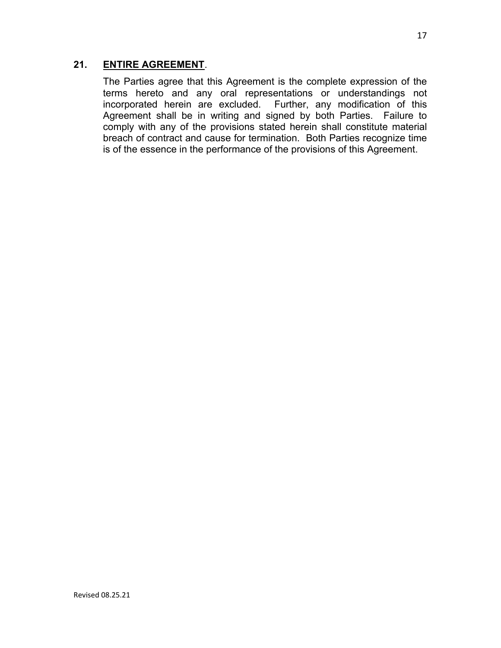## **21. ENTIRE AGREEMENT**.

The Parties agree that this Agreement is the complete expression of the terms hereto and any oral representations or understandings not incorporated herein are excluded. Further, any modification of this Agreement shall be in writing and signed by both Parties. Failure to comply with any of the provisions stated herein shall constitute material breach of contract and cause for termination. Both Parties recognize time is of the essence in the performance of the provisions of this Agreement.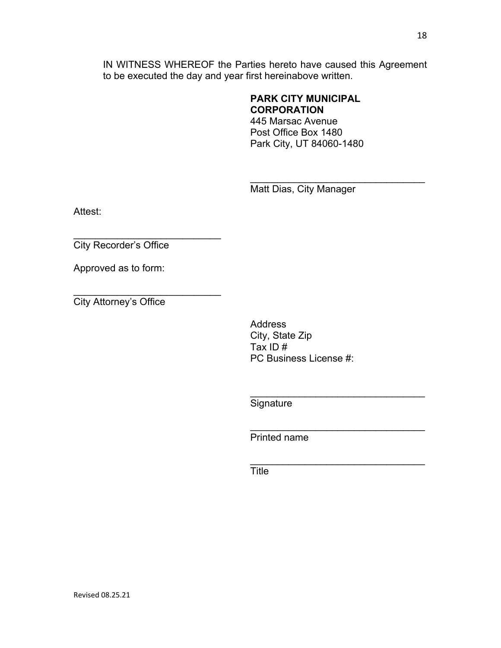IN WITNESS WHEREOF the Parties hereto have caused this Agreement to be executed the day and year first hereinabove written.

## **PARK CITY MUNICIPAL CORPORATION**

445 Marsac Avenue Post Office Box 1480 Park City, UT 84060-1480

Matt Dias, City Manager

\_\_\_\_\_\_\_\_\_\_\_\_\_\_\_\_\_\_\_\_\_\_\_\_\_\_\_\_\_\_\_\_

\_\_\_\_\_\_\_\_\_\_\_\_\_\_\_\_\_\_\_\_\_\_\_\_\_\_\_\_\_\_\_\_

Attest:

\_\_\_\_\_\_\_\_\_\_\_\_\_\_\_\_\_\_\_\_\_\_\_\_\_\_\_ City Recorder's Office

Approved as to form:

\_\_\_\_\_\_\_\_\_\_\_\_\_\_\_\_\_\_\_\_\_\_\_\_\_\_\_ City Attorney's Office

> Address City, State Zip Tax ID # PC Business License #:

**Signature** 

 $\mathcal{L}_\text{max}$  , and the set of the set of the set of the set of the set of the set of the set of the set of the set of the set of the set of the set of the set of the set of the set of the set of the set of the set of the Printed name

 $\mathcal{L}_\text{max}$  , and the set of the set of the set of the set of the set of the set of the set of the set of the set of the set of the set of the set of the set of the set of the set of the set of the set of the set of the **Title**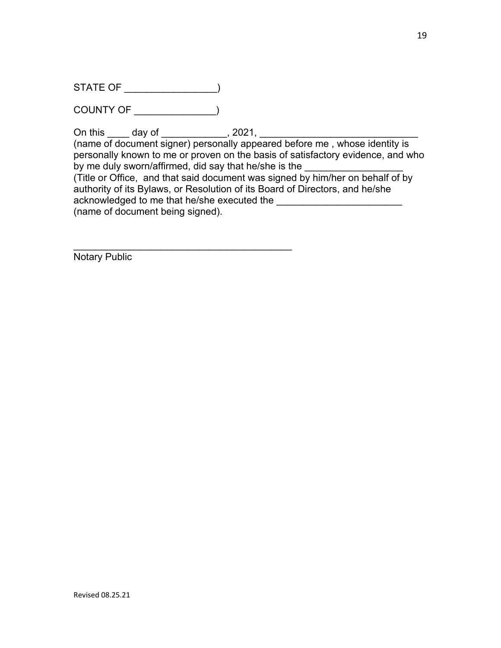STATE OF \_\_\_\_\_\_\_\_\_\_\_\_\_\_\_\_\_)

COUNTY OF \_\_\_\_\_\_\_\_\_\_\_\_\_\_\_)

On this \_\_\_\_\_ day of \_\_\_\_\_\_\_\_\_\_\_\_, 2021,

 $\mathcal{L}_\text{max}$  , and the set of the set of the set of the set of the set of the set of the set of the set of the set of the set of the set of the set of the set of the set of the set of the set of the set of the set of the

(name of document signer) personally appeared before me , whose identity is personally known to me or proven on the basis of satisfactory evidence, and who by me duly sworn/affirmed, did say that he/she is the (Title or Office, and that said document was signed by him/her on behalf of by authority of its Bylaws, or Resolution of its Board of Directors, and he/she acknowledged to me that he/she executed the (name of document being signed).

Notary Public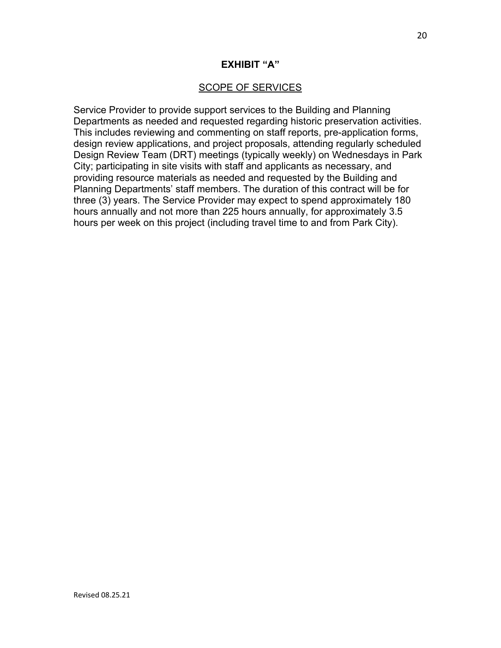#### **EXHIBIT "A"**

#### SCOPE OF SERVICES

Service Provider to provide support services to the Building and Planning Departments as needed and requested regarding historic preservation activities. This includes reviewing and commenting on staff reports, pre-application forms, design review applications, and project proposals, attending regularly scheduled Design Review Team (DRT) meetings (typically weekly) on Wednesdays in Park City; participating in site visits with staff and applicants as necessary, and providing resource materials as needed and requested by the Building and Planning Departments' staff members. The duration of this contract will be for three (3) years. The Service Provider may expect to spend approximately 180 hours annually and not more than 225 hours annually, for approximately 3.5 hours per week on this project (including travel time to and from Park City).